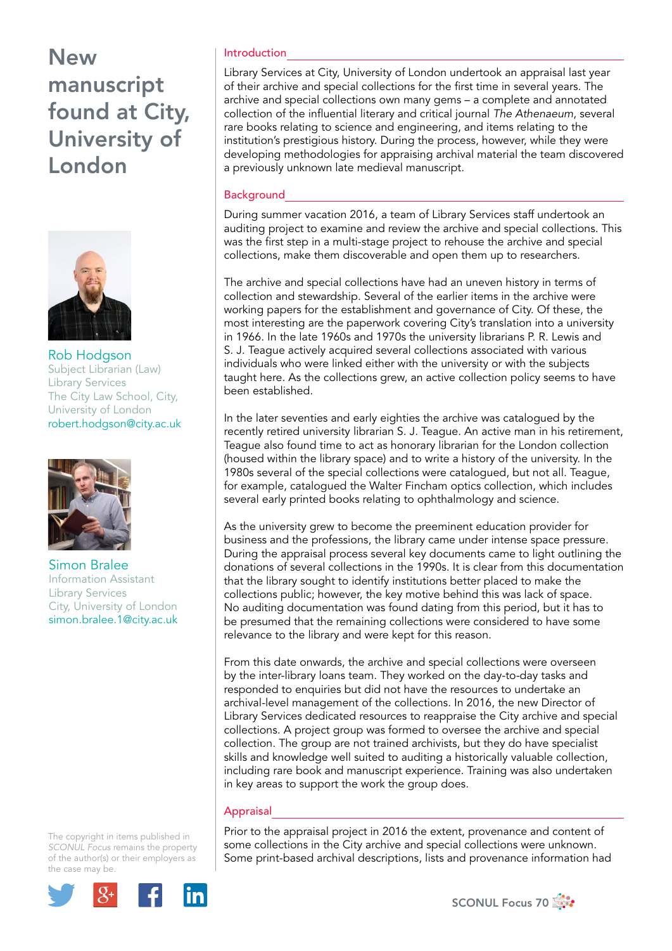# New manuscript found at City, University of London



Rob Hodgson Subject Librarian (Law) Library Services The City Law School, City, University of London robert.hodgson@city.ac.uk



Simon Bralee Information Assistant Library Services City, University of London simon.bralee.1@city.ac.uk

The copyright in items published in *SCONUL Focus* remains the property of the author(s) or their employers as the case may be.



#### Introduction

Library Services at City, University of London undertook an appraisal last year of their archive and special collections for the first time in several years. The archive and special collections own many gems – a complete and annotated collection of the influential literary and critical journal *The Athenaeum*, several rare books relating to science and engineering, and items relating to the institution's prestigious history. During the process, however, while they were developing methodologies for appraising archival material the team discovered a previously unknown late medieval manuscript.

#### **Background**

During summer vacation 2016, a team of Library Services staff undertook an auditing project to examine and review the archive and special collections. This was the first step in a multi-stage project to rehouse the archive and special collections, make them discoverable and open them up to researchers.

The archive and special collections have had an uneven history in terms of collection and stewardship. Several of the earlier items in the archive were working papers for the establishment and governance of City. Of these, the most interesting are the paperwork covering City's translation into a university in 1966. In the late 1960s and 1970s the university librarians P. R. Lewis and S. J. Teague actively acquired several collections associated with various individuals who were linked either with the university or with the subjects taught here. As the collections grew, an active collection policy seems to have been established.

In the later seventies and early eighties the archive was catalogued by the recently retired university librarian S. J. Teague. An active man in his retirement, Teague also found time to act as honorary librarian for the London collection (housed within the library space) and to write a history of the university. In the 1980s several of the special collections were catalogued, but not all. Teague, for example, catalogued the Walter Fincham optics collection, which includes several early printed books relating to ophthalmology and science.

As the university grew to become the preeminent education provider for business and the professions, the library came under intense space pressure. During the appraisal process several key documents came to light outlining the donations of several collections in the 1990s. It is clear from this documentation that the library sought to identify institutions better placed to make the collections public; however, the key motive behind this was lack of space. No auditing documentation was found dating from this period, but it has to be presumed that the remaining collections were considered to have some relevance to the library and were kept for this reason.

From this date onwards, the archive and special collections were overseen by the inter-library loans team. They worked on the day-to-day tasks and responded to enquiries but did not have the resources to undertake an archival-level management of the collections. In 2016, the new Director of Library Services dedicated resources to reappraise the City archive and special collections. A project group was formed to oversee the archive and special collection. The group are not trained archivists, but they do have specialist skills and knowledge well suited to auditing a historically valuable collection, including rare book and manuscript experience. Training was also undertaken in key areas to support the work the group does.

### **Appraisal**

Prior to the appraisal project in 2016 the extent, provenance and content of some collections in the City archive and special collections were unknown. Some print-based archival descriptions, lists and provenance information had

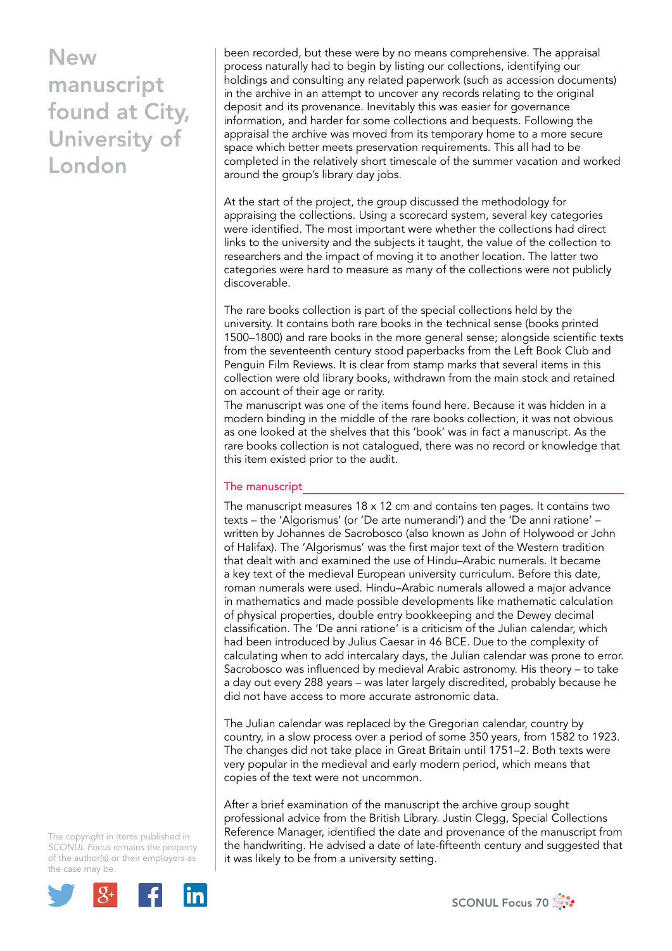## New manuscript found at City, University of London

been recorded, but these were by no means comprehensive. The appraisal process naturally had to begin by listing our collections, identifying our holdings and consulting any related paperwork (such as accession documents) in the archive in an attempt to uncover any records relating to the original deposit and its provenance. Inevitably this was easier for governance information, and harder for some collections and bequests. Following the appraisal the archive was moved from its temporary home to a more secure space which better meets preservation requirements. This all had to be completed in the relatively short timescale of the summer vacation and worked around the group's library day jobs.

At the start of the project, the group discussed the methodology for appraising the collections. Using a scorecard system, several key categories were identified. The most important were whether the collections had direct links to the university and the subjects it taught, the value of the collection to researchers and the impact of moving it to another location. The latter two categories were hard to measure as many of the collections were not publicly discoverable.

The rare books collection is part of the special collections held by the university. It contains both rare books in the technical sense (books printed 1500–1800) and rare books in the more general sense; alongside scientific texts from the seventeenth century stood paperbacks from the Left Book Club and Penguin Film Reviews. It is clear from stamp marks that several items in this collection were old library books, withdrawn from the main stock and retained on account of their age or rarity.

The manuscript was one of the items found here. Because it was hidden in a modern binding in the middle of the rare books collection, it was not obvious as one looked at the shelves that this 'book' was in fact a manuscript. As the rare books collection is not catalogued, there was no record or knowledge that this item existed prior to the audit.

### The manuscript

The manuscript measures  $18 \times 12$  cm and contains ten pages. It contains two texts – the 'Algorismus' (or 'De arte numerandi') and the 'De anni ratione' – written by Johannes de Sacrobosco (also known as John of Holywood or John of Halifax). The 'Algorismus' was the first major text of the Western tradition that dealt with and examined the use of Hindu–Arabic numerals. It became a key text of the medieval European university curriculum. Before this date, roman numerals were used. Hindu–Arabic numerals allowed a major advance in mathematics and made possible developments like mathematic calculation of physical properties, double entry bookkeeping and the Dewey decimal classification. The 'De anni ratione' is a criticism of the Julian calendar, which had been introduced by Julius Caesar in 46 BCE. Due to the complexity of calculating when to add intercalary days, the Julian calendar was prone to error. Sacrobosco was influenced by medieval Arabic astronomy. His theory – to take a day out every 288 years – was later largely discredited, probably because he did not have access to more accurate astronomic data.

The Julian calendar was replaced by the Gregorian calendar, country by country, in a slow process over a period of some 350 years, from 1582 to 1923. The changes did not take place in Great Britain until 1751–2. Both texts were very popular in the medieval and early modern period, which means that copies of the text were not uncommon.

After a brief examination of the manuscript the archive group sought professional advice from the British Library. Justin Clegg, Special Collections Reference Manager, identified the date and provenance of the manuscript from the handwriting. He advised a date of late-fifteenth century and suggested that it was likely to be from a university setting.

The copyright in items published in *SCONUL Focus* remains the property of the author(s) or their employers as the case may be.



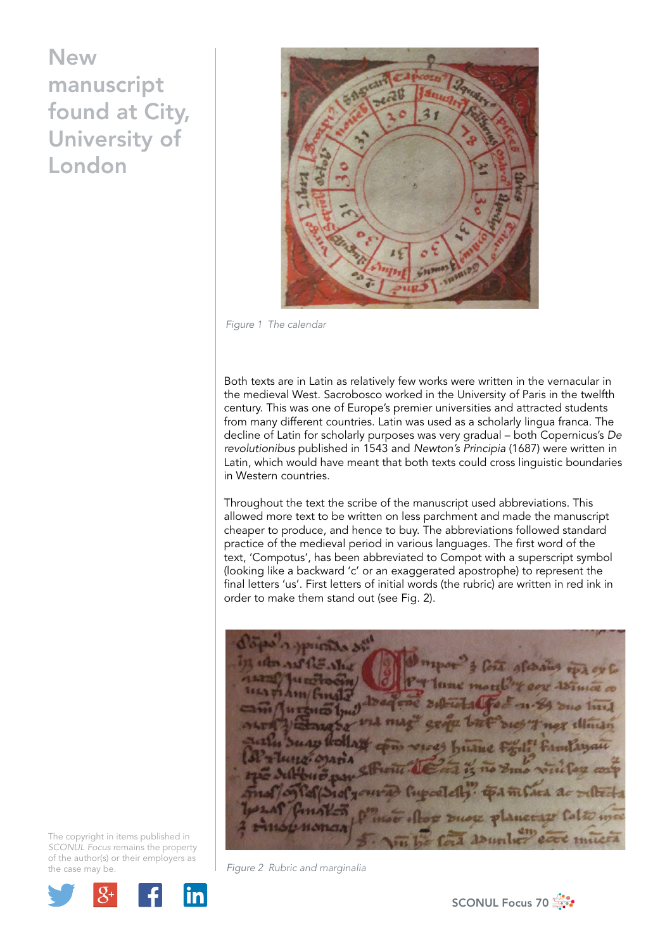## **New** manuscript found at City, University of London



*Figure 1 The calendar*

Both texts are in Latin as relatively few works were written in the vernacular in the medieval West. Sacrobosco worked in the University of Paris in the twelfth century. This was one of Europe's premier universities and attracted students from many different countries. Latin was used as a scholarly lingua franca. The decline of Latin for scholarly purposes was very gradual – both Copernicus's *De revolutionibus* published in 1543 and *Newton's Principia* (1687) were written in Latin, which would have meant that both texts could cross linguistic boundaries in Western countries.

Throughout the text the scribe of the manuscript used abbreviations. This allowed more text to be written on less parchment and made the manuscript cheaper to produce, and hence to buy. The abbreviations followed standard practice of the medieval period in various languages. The first word of the text, 'Compotus', has been abbreviated to Compot with a superscript symbol (looking like a backward 'c' or an exaggerated apostrophe) to represent the final letters 'us'. First letters of initial words (the rubric) are written in red ink in order to make them stand out (see Fig. 2).

no turt nou planeral *abunlur* 

The copyright in items published in *SCONUL Focus* remains the property of the author(s) or their employers as the case may be.



*Figure 2 Rubric and marginalia*

SCONUL Focus 70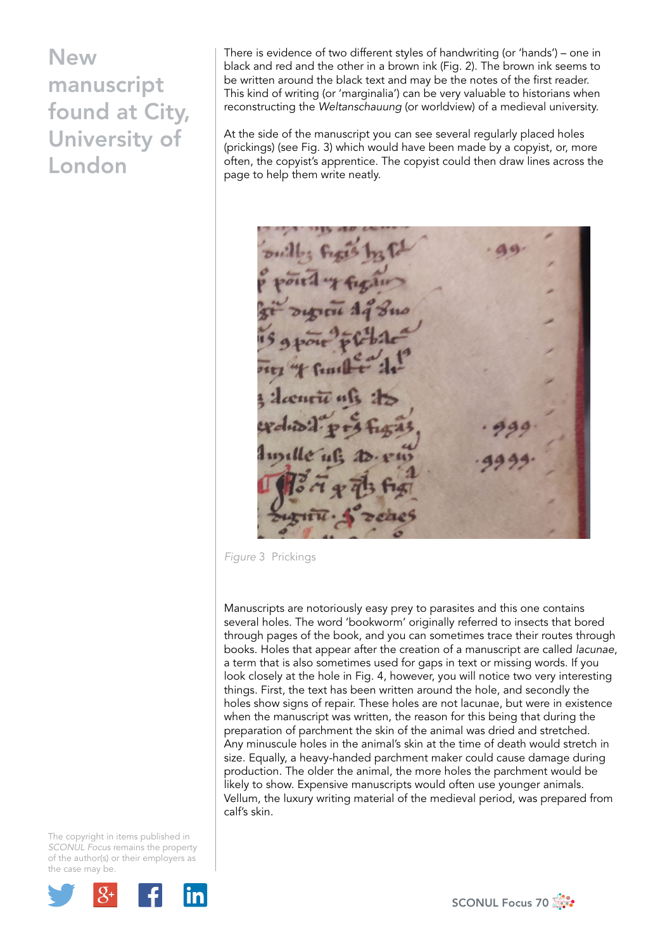## **New** manuscript found at City, University of London

There is evidence of two different styles of handwriting (or 'hands') – one in black and red and the other in a brown ink (Fig. 2). The brown ink seems to be written around the black text and may be the notes of the first reader. This kind of writing (or 'marginalia') can be very valuable to historians when reconstructing the *Weltanschauung* (or worldview) of a medieval university.

At the side of the manuscript you can see several regularly placed holes (prickings) (see Fig. 3) which would have been made by a copyist, or, more often, the copyist's apprentice. The copyist could then draw lines across the page to help them write neatly.

*Figure* 3 Prickings

Manuscripts are notoriously easy prey to parasites and this one contains several holes. The word 'bookworm' originally referred to insects that bored through pages of the book, and you can sometimes trace their routes through books. Holes that appear after the creation of a manuscript are called *lacunae*, a term that is also sometimes used for gaps in text or missing words. If you look closely at the hole in Fig. 4, however, you will notice two very interesting things. First, the text has been written around the hole, and secondly the holes show signs of repair. These holes are not lacunae, but were in existence when the manuscript was written, the reason for this being that during the preparation of parchment the skin of the animal was dried and stretched. Any minuscule holes in the animal's skin at the time of death would stretch in size. Equally, a heavy-handed parchment maker could cause damage during production. The older the animal, the more holes the parchment would be likely to show. Expensive manuscripts would often use younger animals. Vellum, the luxury writing material of the medieval period, was prepared from calf's skin.

The copyright in items published in *SCONUL Focus* remains the property of the author(s) or their employers as the case may be.



SCONUL Focus 70